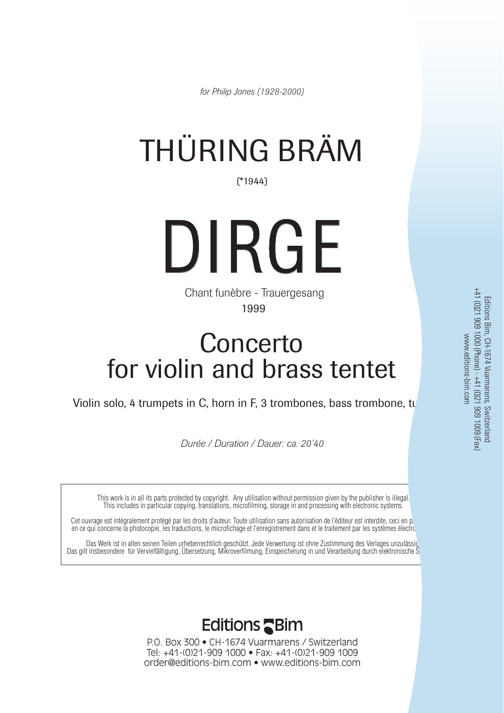*for Philip Jones (1928-2000)*

## THÜRING BRÄM

(\*1944)

# DIRGE

1999 Chant funèbre - Trauergesang

### **Concerto** for violin and brass tentet

Violin solo, 4 trumpets in C, horn in F, 3 trombones, bass trombone, tu

*Durée / Duration / Dauer: ca. 20'40*

This work is in all its parts protected by copyright. Any utilisation without permission given by the publisher is illegal. This includes in particular copying, translations, microfilming, storage in and processing with electronic systems.

Cet ouvrage est intégralement protégé par les droits d'auteur. Toute utilisation sans autorisation de l'éditeur est interdite, ceci en p. en ce qui concerne la photocopie, les traductions, le microfichage et l'enregistrement dans et le traitement par les systèmes électroniques.

Das Werk ist in allen seinen Teilen urheberrechtlich geschützt. Jede Verwertung ist ohne Zustimmung des Verlages unzulässig. Das gilt insbesondere für Vervielfältigung, Übersetzung, Mikroverfilmung, Einspeicherung in und Verarbeitung durch elektronische Systeme.



P.O. Box 300 • CH-1674 Vuarmarens / Switzerland Tel: +41-(0)21-909 1000 • Fax: +41-(0)21-909 1009 order@editions-bim.com • www.editions-bim.com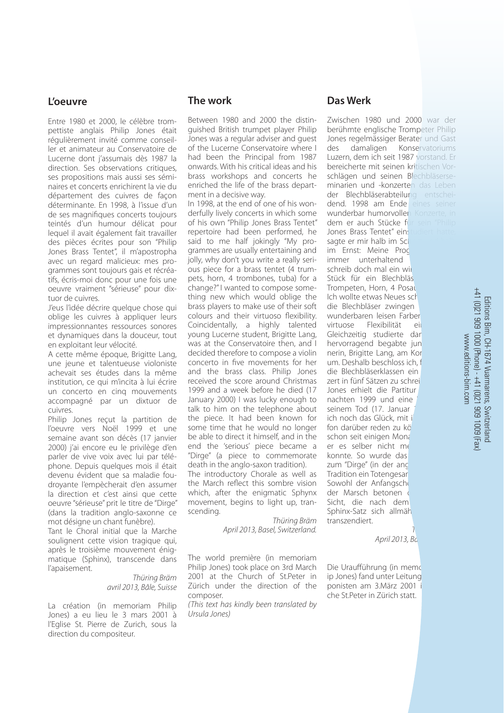#### **L'oeuvre**

Entre 1980 et 2000, le célèbre trompettiste anglais Philip Jones était régulièrement invité comme conseiller et animateur au Conservatoire de Lucerne dont j'assumais dès 1987 la direction. Ses observations critiques, ses propositions mais aussi ses séminaires et concerts enrichirent la vie du département des cuivres de façon déterminante. En 1998, à l'issue d'un de ses magnifiques concerts toujours teintés d'un humour délicat pour lequel il avait également fait travailler des pièces écrites pour son "Philip Jones Brass Tentet", il m'apostropha avec un regard malicieux: mes programmes sont toujours gais et récréatifs, écris-moi donc pour une fois une oeuvre vraiment "sérieuse" pour dixtuor de cuivres.

J'eus l'idée décrire quelque chose qui oblige les cuivres à appliquer leurs impressionnantes ressources sonores et dynamiques dans la douceur, tout en exploitant leur vélocité.

A cette même époque, Brigitte Lang, une jeune et talentueuse violoniste achevait ses études dans la même institution, ce qui m'incita à lui écrire un concerto en cinq mouvements accompagné par un dixtuor de cuivres.

Philip Jones reçut la partition de l'oeuvre vers Noël 1999 et une semaine avant son décès (17 janvier 2000) j'ai encore eu le privilège d'en parler de vive voix avec lui par téléphone. Depuis quelques mois il était devenu évident que sa maladie foudroyante l'empècherait d'en assumer la direction et c'est ainsi que cette oeuvre "sérieuse" prit le titre de "Dirge" (dans la tradition anglo-saxonne ce mot désigne un chant funèbre).

Tant le Choral initial que la Marche soulignent cette vision tragique qui, après le troisième mouvement énigmatique (Sphinx), transcende dans l'apaisement.

> *Thüring Bräm avril 2013, Bâle, Suisse*

La création (in memoriam Philip Jones) a eu lieu le 3 mars 2001 à l'Eglise St. Pierre de Zurich, sous la direction du compositeur.

#### **The work**

Between 1980 and 2000 the distinguished British trumpet player Philip Jones was a regular adviser and guest of the Lucerne Conservatoire where I had been the Principal from 1987 onwards. With his critical ideas and his brass workshops and concerts he enriched the life of the brass department in a decisive way.

In 1998, at the end of one of his wonderfully lively concerts in which some of his own "Philip Jones Brass Tentet" repertoire had been performed, he said to me half jokingly "My programmes are usually entertaining and jolly, why don't you write a really serious piece for a brass tentet (4 trumpets, horn, 4 trombones, tuba) for a change?" I wanted to compose something new which would oblige the brass players to make use of their soft colours and their virtuoso flexibility. Coincidentally, a highly talented young Lucerne student, Brigitte Lang, was at the Conservatoire then, and I decided therefore to compose a violin concerto in five movements for her and the brass class. Philip Jones received the score around Christmas 1999 and a week before he died (17 January 2000) I was lucky enough to talk to him on the telephone about the piece. It had been known for some time that he would no longer be able to direct it himself, and in the end the 'serious' piece became a "Dirge" (a piece to commemorate death in the anglo-saxon tradition).

The introductory Chorale as well as the March reflect this sombre vision which, after the enigmatic Sphynx movement, begins to light up, transcending.

> *Thüring Bräm April 2013, Basel, Switzerland.*

The world première (in memoriam Philip Jones) took place on 3rd March 2001 at the Church of St.Peter in Zürich under the direction of the composer.

*(This text has kindly been translated by Ursula Jones)*

#### **Das Werk**

Zwischen 1980 und 2000 war der berühmte englische Trompeter Philip Jones regelmässiger Berater und Gast des damaligen Konservatoriums Luzern, dem ich seit 1987 vorstand. Er bereicherte mit seinen kritischen Vorschlägen und seinen Blechbläserseminarien und -konzerten das Leben der Blechbläserabteilung entscheidend. 1998 am Ende eines seiner wunderbar humorvollen Konzerte, in dem er auch Stücke für Jones Brass Tentet" einst sagte er mir halb im Sch im Ernst: Meine Proc immer unterhaltend schreib doch mal ein wirk Stück für ein Blechbläs Trompeten, Horn, 4 Posau Ich wollte etwas Neues sch die Blechbläser zwingen wunderbaren leisen Farber virtuose Flexibilität ein Gleichzeitig studierte dar hervorragend begabte jun nerin, Brigitte Lang, am Kor um. Deshalb beschloss ich, f die Blechbläserklassen ein zert in fünf Sätzen zu schrei Jones erhielt die Partitur nachten 1999 und eine seinem Tod (17. Januar ich noch das Glück, mit i fon darüber reden zu kö schon seit einigen Mona er es selber nicht me konnte. So wurde das zum "Dirge" (in der and Tradition ein Totengesar Sowohl der Anfangscho der Marsch betonen d Sicht, die nach dem Sphinx-Satz sich allmäh transzendiert. *Thüring Bräm*

*April 2013, Bc.* 

Die Uraufführung (in memo ip Jones) fand unter Leitung ponisten am 3.März 2001 i che St.Peter in Zürich statt.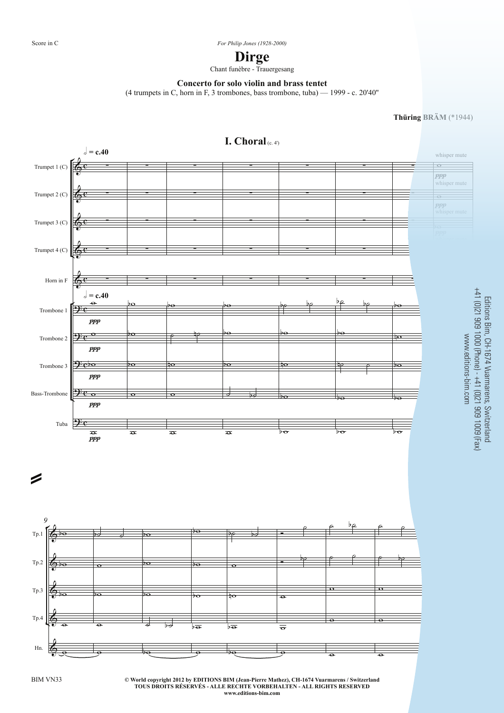*For Philip Jones (1928-2000)*

#### **Dirge**

Chant funèbre - Trauergesang

#### **Concerto for solo violin and brass tentet**

(4 trumpets in C, horn in F, 3 trombones, bass trombone, tuba) — 1999 - c. 20'40''

#### **Thüring BRÄM** (\*1944)



**© World copyright 2012 by EDITIONS BIM (Jean-Pierre Mathez), CH-1674 Vuarmarens / Switzerland TOUS DROITS RÉSERVÉS - ALLE RECHTE VORBEHALTEN - ALL RIGHTS RESERVED** BIM VN33 3 **www.editions-bim.com**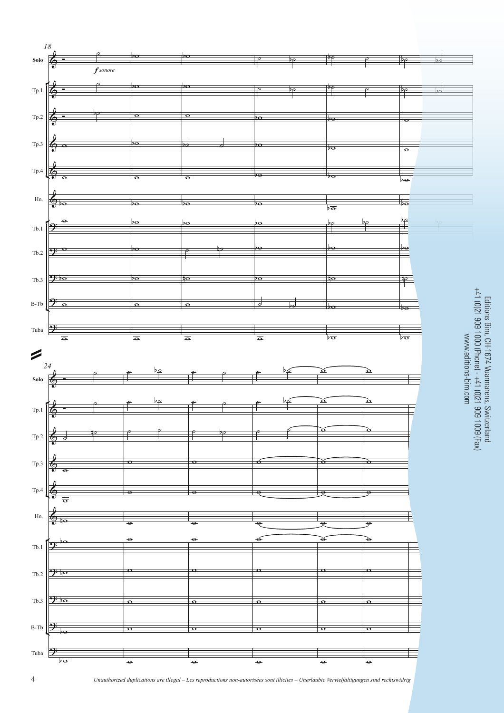

4 *Unauthorized duplications are illegal – Les reproductions non-autorisées sont illicites – Unerlaubte Vervielfältigungen sind rechtswidrig* BIM VN33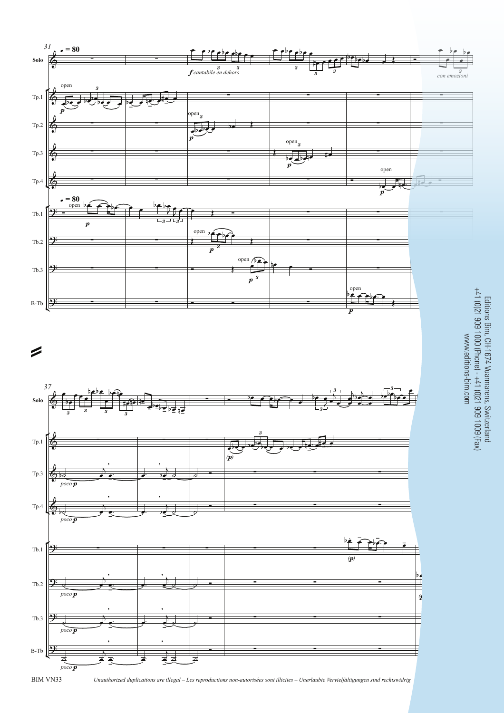

BIM VN33 *Unauthorized duplications are illegal – Les reproductions non-autorisées sont illicites – Unerlaubte Vervielfältigungen sind rechtswidrig* 5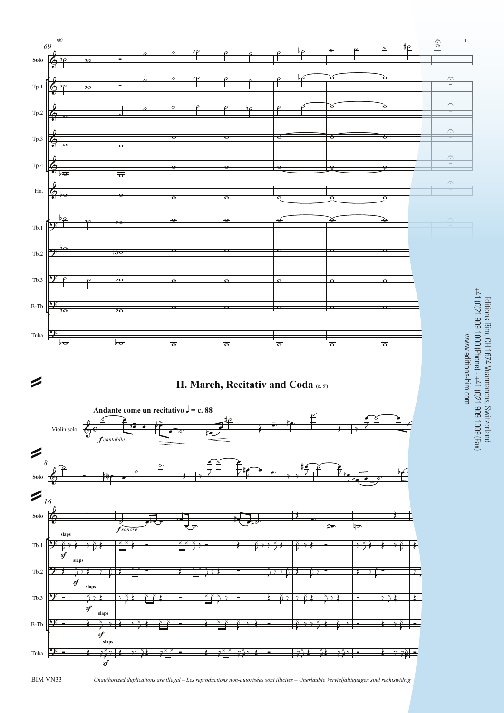



Unauthorized duplications are illegal - Les reproductions non-autorisées sont illicites - Unerlaubte Vervielfältigungen sind rechtswidrig

Editions Bim, CH-1674 Vuarmarens, Switzerland<br>+41 (0)21 909 1000 (Phone) - +41 (0)21 909 1009 (Fax)<br>www.editions-bim.com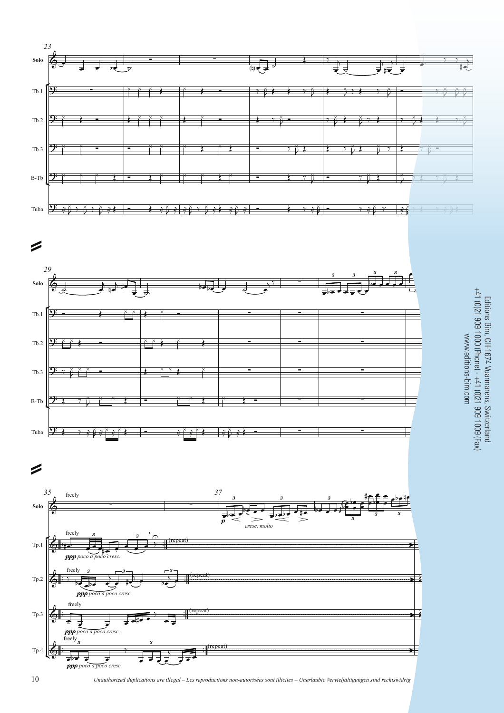





10 *Unauthorized duplications are illegal* – Les reproductions non-autorisées sont illicites – Unerlaubte Vervielfältigungen sind rechtswidrig

 $\mathcal{L}$  and the set of the set of the set of the set of the set of the set of the set of the set of the set of the set of the set of the set of the set of the set of the set of the set of the set of the set of the set of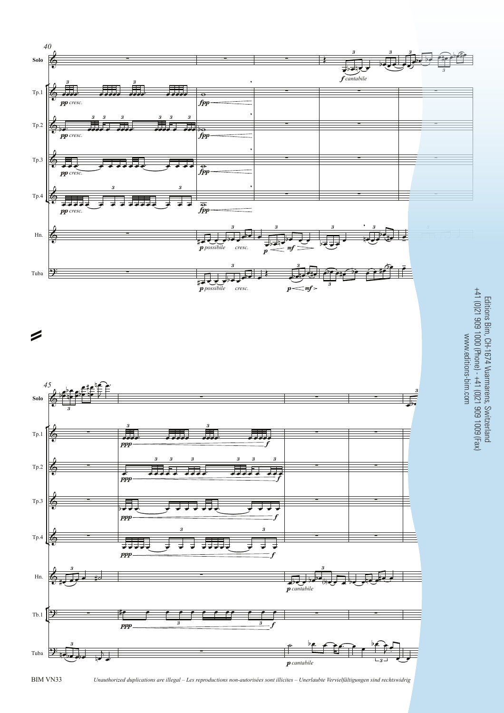



Editions Bim, CH-1674 Vuarmarens, Switzerland<br>+41 (0)21 909 1000 (Phone) - +41 (0)21 909 1009 (Fax) www.editions-bim.com

**BIM VN33** 

 $\rightarrow$ 

Unauthorized duplications are illegal - Les reproductions non-autorisées sont illicites - Unerlaubte Vervielfältigungen sind rechtswidrig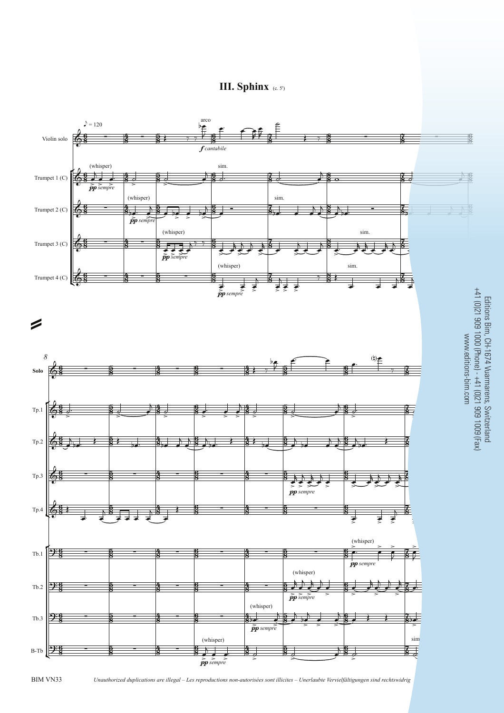



BIM VN33 *Unauthorized duplications are illegal – Les reproductions non-autorisées sont illicites – Unerlaubte Vervielfältigungen sind rechtswidrig* 15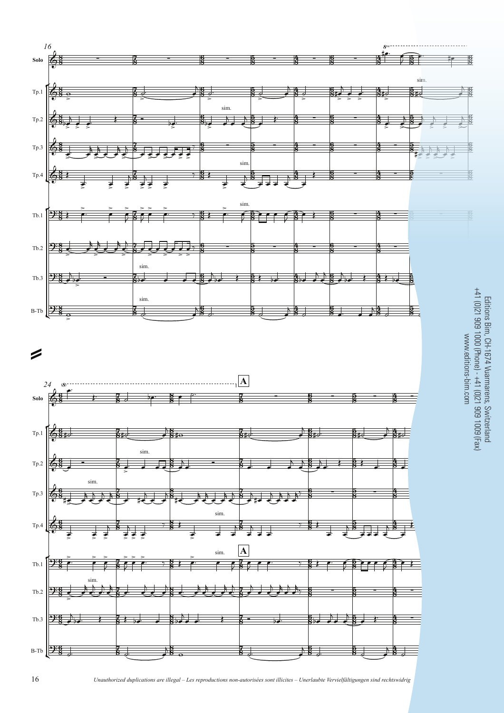

16 *Unauthorized duplications are illegal – Les reproductions non-autorisées sont illicites – Unerlaubte Vervielfältigungen sind rechtswidrig*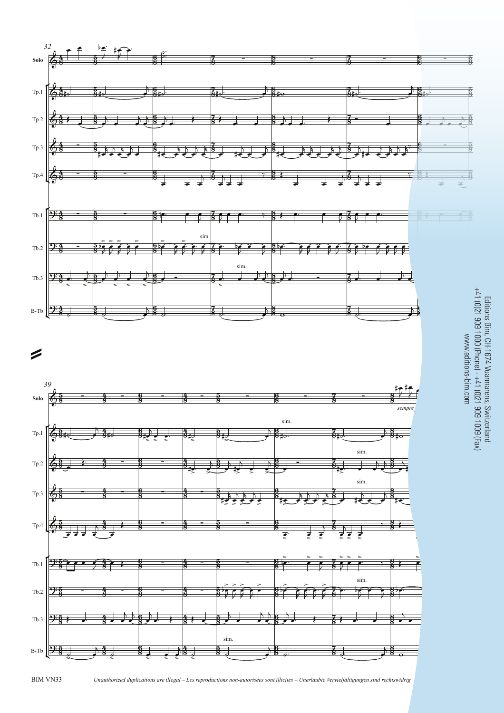



 $\frac{1}{2}$  $\sum_{i=1}^{\infty}$ Editions Bim, CH-1674 Vuarmarens, Switzerland +41 (0)21 909 1000 (Phone) - +41 (0)21 909 1009 (Fax) www.editions-bim.com

BIM VN33 *Unauthorized duplications are illegal – Les reproductions non-autorisées sont illicites – Unerlaubte Vervielfältigungen sind rechtswidrig* 17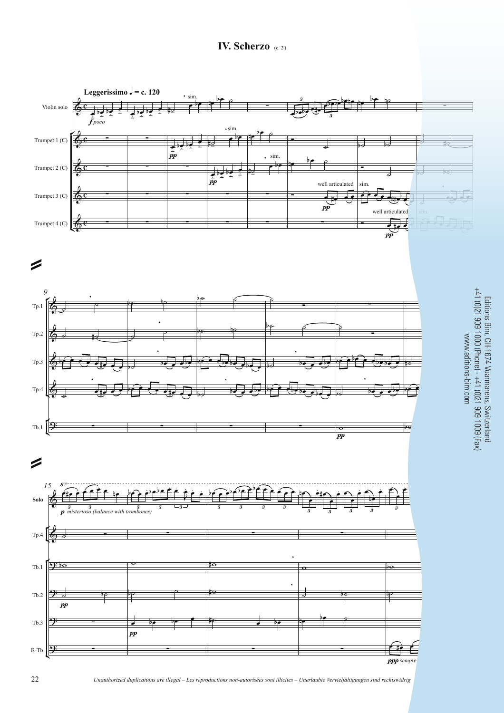

22 *Unauthorized duplications are illegal – Les reproductions non-autorisées sont illicites – Unerlaubte Vervielfältigungen sind rechtswidrig*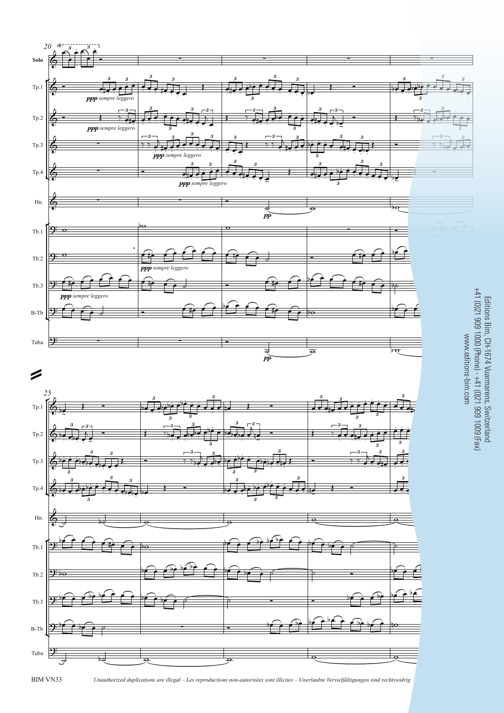



Unauthorized duplications are illegal - Les reproductions non-autorisées sont illicites - Unerlaubte Vervielfältigungen sind rechtswidrig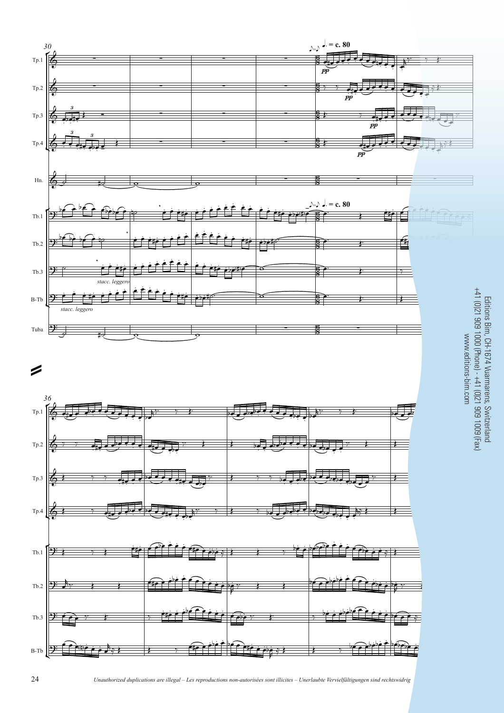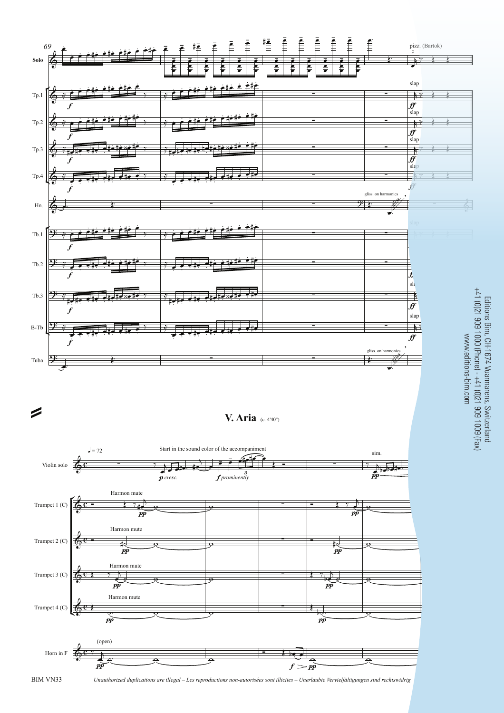



BIM VN33 *Unauthorized duplications are illegal – Les reproductions non-autorisées sont illicites – Unerlaubte Vervielfältigungen sind rechtswidrig* 27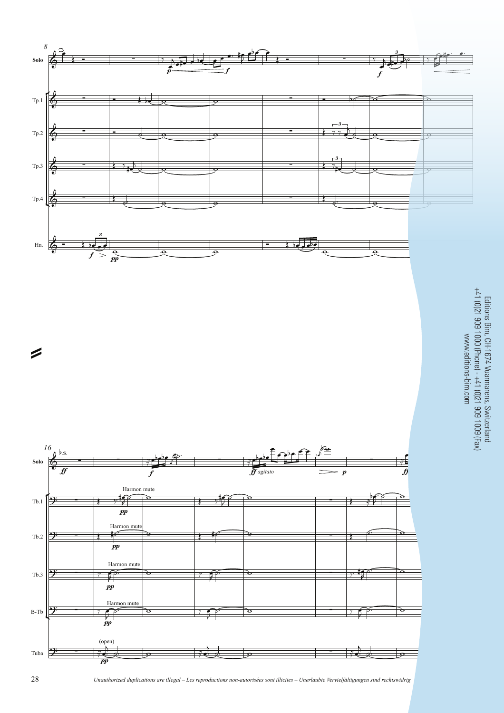

28 *Unauthorized duplications are illegal* – Les reproductions non-autorisées sont illicites – Unerlaubte Vervielfältigungen sind rechtswidrig